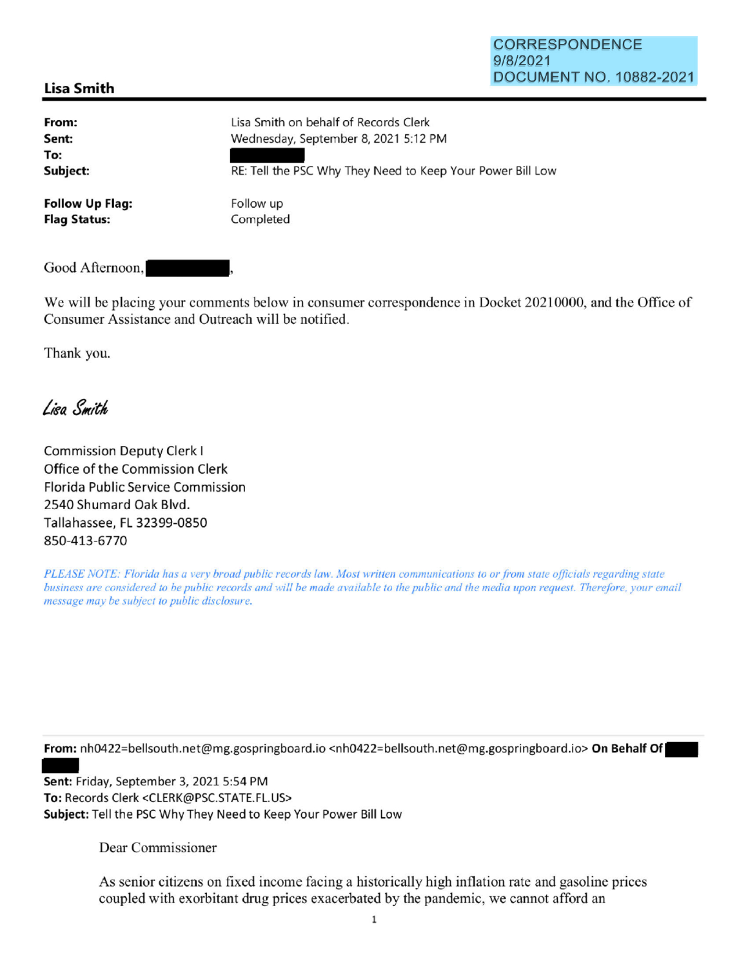## CORRESPONDENCE 9/8/2021 DOCUMENT NO. 10882-2021

## **Lisa Smith**

| From:<br>Sent:<br>To:<br>Subject: | Lisa Smith on behalf of Records Clerk<br>Wednesday, September 8, 2021 5:12 PM<br>RE: Tell the PSC Why They Need to Keep Your Power Bill Low |
|-----------------------------------|---------------------------------------------------------------------------------------------------------------------------------------------|
| Follow Up Flag:                   | Follow up                                                                                                                                   |
| <b>Flag Status:</b>               | Completed                                                                                                                                   |

Good Afternoon,

We will be placing your comments below in consumer correspondence in Docket 20210000, and the Office of Consumer Assistance and Outreach will be notified.

Thank you.

Lisa Smith

Commission Deputy Clerk I Office of the Commission Clerk Florida Public Service Commission 2540 Shumard Oak Blvd. Tallahassee, FL 32399-0850 850-413-6770

*PLEASE NOTE: Florida has a very broad public records law. Most written communications to or from state officials regarding state business are considered to be public records and will be made available to the public and the media upon request. Therefore, your email message may be subject to public disclosure.* 

**From:** nh0422=bellsouth.net@mg.gospringboard.io <nh0422=bellsouth.net@mg.gospringboard.io> **On Behalf Of**<br>**Sent:** Friday, September 3, 2021 5:54 PM<br>**To:** Records Clerk <CLERK@PSC.STATE.FL.US> **Sent:** Friday, September 3, 2021 5:54 PM **To:** Records Clerk <CLERK@PSC.STATE.FL.US> **Subject:** Tell the PSC Why They Need to Keep Your Power Bill Low

Dear Commissioner

As senior citizens on fixed income facing a historically high inflation rate and gasoline prices coupled with exorbitant drug prices exacerbated by the pandemic, we cannot afford an